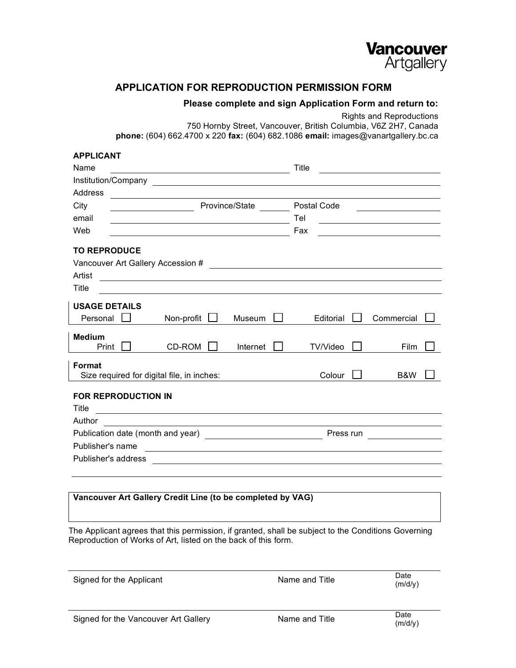

## **APPLICATION FOR REPRODUCTION PERMISSION FORM**

## **Please complete and sign Application Form and return to:**

Rights and Reproductions

750 Hornby Street, Vancouver, British Columbia, V6Z 2H7, Canada **phone:** (604) 662.4700 x 220 **fax:** (604) 682.1086 **email:** images@vanartgallery.bc.ca

| <b>APPLICANT</b>                                                                                              |                                            |                                                                                                                       |          |             |           |                                                           |  |  |  |
|---------------------------------------------------------------------------------------------------------------|--------------------------------------------|-----------------------------------------------------------------------------------------------------------------------|----------|-------------|-----------|-----------------------------------------------------------|--|--|--|
| Name                                                                                                          |                                            |                                                                                                                       |          | Title       |           | <u> 1970 - Andrea Station Books, amerikansk politik (</u> |  |  |  |
|                                                                                                               |                                            |                                                                                                                       |          |             |           |                                                           |  |  |  |
| Address                                                                                                       |                                            |                                                                                                                       |          |             |           |                                                           |  |  |  |
| City                                                                                                          | Province/State                             |                                                                                                                       |          | Postal Code |           |                                                           |  |  |  |
| email                                                                                                         |                                            | <u> 1980 - Johann Stoff, deutscher Stoff, der Stoff, der Stoff, der Stoff, der Stoff, der Stoff, der Stoff, der S</u> |          | Tel         |           | <u> 1989 - Johann Stein, fransk politik (</u>             |  |  |  |
| Web                                                                                                           |                                            |                                                                                                                       |          | Fax         |           |                                                           |  |  |  |
| <b>TO REPRODUCE</b><br>Vancouver Art Gallery Accession #<br><u> 1989 - Andrea State Barbara, amerikan per</u> |                                            |                                                                                                                       |          |             |           |                                                           |  |  |  |
| Artist                                                                                                        |                                            |                                                                                                                       |          |             |           |                                                           |  |  |  |
| Title                                                                                                         |                                            |                                                                                                                       |          |             |           |                                                           |  |  |  |
| <b>USAGE DETAILS</b><br>Personal                                                                              |                                            | Non-profit                                                                                                            | Museum   | Editorial   |           | Commercial                                                |  |  |  |
| <b>Medium</b><br>Print                                                                                        |                                            | CD-ROM                                                                                                                | Internet | TV/Video    |           | Film                                                      |  |  |  |
| <b>Format</b>                                                                                                 | Size required for digital file, in inches: | Colour                                                                                                                |          | B&W         |           |                                                           |  |  |  |
| <b>FOR REPRODUCTION IN</b><br>Title<br><u> 1989 - Johann Stein, fransk politiker (d. 1989)</u>                |                                            |                                                                                                                       |          |             |           |                                                           |  |  |  |
| Author                                                                                                        |                                            |                                                                                                                       |          |             |           |                                                           |  |  |  |
|                                                                                                               |                                            |                                                                                                                       |          |             | Press run |                                                           |  |  |  |
| Publisher's name                                                                                              |                                            |                                                                                                                       |          |             |           |                                                           |  |  |  |
| Publisher's address                                                                                           |                                            |                                                                                                                       |          |             |           |                                                           |  |  |  |
|                                                                                                               |                                            |                                                                                                                       |          |             |           |                                                           |  |  |  |
|                                                                                                               |                                            |                                                                                                                       |          |             |           |                                                           |  |  |  |

## **Vancouver Art Gallery Credit Line (to be completed by VAG)**

The Applicant agrees that this permission, if granted, shall be subject to the Conditions Governing Reproduction of Works of Art, listed on the back of this form.

| Signed for the Applicant | Name and Title | Date<br>(m/d/v) |
|--------------------------|----------------|-----------------|
|                          |                |                 |